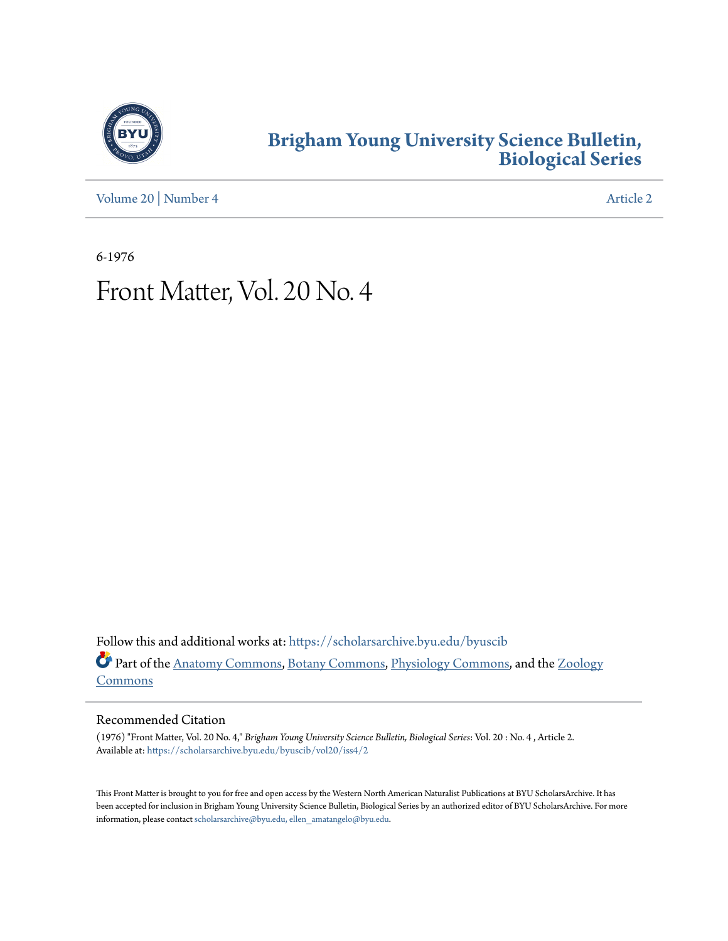

## **[Brigham Young University Science Bulletin,](https://scholarsarchive.byu.edu/byuscib?utm_source=scholarsarchive.byu.edu%2Fbyuscib%2Fvol20%2Fiss4%2F2&utm_medium=PDF&utm_campaign=PDFCoverPages) [Biological Series](https://scholarsarchive.byu.edu/byuscib?utm_source=scholarsarchive.byu.edu%2Fbyuscib%2Fvol20%2Fiss4%2F2&utm_medium=PDF&utm_campaign=PDFCoverPages)**

[Volume 20](https://scholarsarchive.byu.edu/byuscib/vol20?utm_source=scholarsarchive.byu.edu%2Fbyuscib%2Fvol20%2Fiss4%2F2&utm_medium=PDF&utm_campaign=PDFCoverPages) | [Number 4](https://scholarsarchive.byu.edu/byuscib/vol20/iss4?utm_source=scholarsarchive.byu.edu%2Fbyuscib%2Fvol20%2Fiss4%2F2&utm_medium=PDF&utm_campaign=PDFCoverPages) [Article 2](https://scholarsarchive.byu.edu/byuscib/vol20/iss4/2?utm_source=scholarsarchive.byu.edu%2Fbyuscib%2Fvol20%2Fiss4%2F2&utm_medium=PDF&utm_campaign=PDFCoverPages)

6-1976

# Front Matter, Vol. 20 No. 4

Follow this and additional works at: [https://scholarsarchive.byu.edu/byuscib](https://scholarsarchive.byu.edu/byuscib?utm_source=scholarsarchive.byu.edu%2Fbyuscib%2Fvol20%2Fiss4%2F2&utm_medium=PDF&utm_campaign=PDFCoverPages) Part of the [Anatomy Commons](http://network.bepress.com/hgg/discipline/903?utm_source=scholarsarchive.byu.edu%2Fbyuscib%2Fvol20%2Fiss4%2F2&utm_medium=PDF&utm_campaign=PDFCoverPages), [Botany Commons](http://network.bepress.com/hgg/discipline/104?utm_source=scholarsarchive.byu.edu%2Fbyuscib%2Fvol20%2Fiss4%2F2&utm_medium=PDF&utm_campaign=PDFCoverPages), [Physiology Commons,](http://network.bepress.com/hgg/discipline/69?utm_source=scholarsarchive.byu.edu%2Fbyuscib%2Fvol20%2Fiss4%2F2&utm_medium=PDF&utm_campaign=PDFCoverPages) and the [Zoology](http://network.bepress.com/hgg/discipline/81?utm_source=scholarsarchive.byu.edu%2Fbyuscib%2Fvol20%2Fiss4%2F2&utm_medium=PDF&utm_campaign=PDFCoverPages) [Commons](http://network.bepress.com/hgg/discipline/81?utm_source=scholarsarchive.byu.edu%2Fbyuscib%2Fvol20%2Fiss4%2F2&utm_medium=PDF&utm_campaign=PDFCoverPages)

#### Recommended Citation

(1976) "Front Matter, Vol. 20 No. 4," *Brigham Young University Science Bulletin, Biological Series*: Vol. 20 : No. 4 , Article 2. Available at: [https://scholarsarchive.byu.edu/byuscib/vol20/iss4/2](https://scholarsarchive.byu.edu/byuscib/vol20/iss4/2?utm_source=scholarsarchive.byu.edu%2Fbyuscib%2Fvol20%2Fiss4%2F2&utm_medium=PDF&utm_campaign=PDFCoverPages)

This Front Matter is brought to you for free and open access by the Western North American Naturalist Publications at BYU ScholarsArchive. It has been accepted for inclusion in Brigham Young University Science Bulletin, Biological Series by an authorized editor of BYU ScholarsArchive. For more information, please contact [scholarsarchive@byu.edu, ellen\\_amatangelo@byu.edu](mailto:scholarsarchive@byu.edu,%20ellen_amatangelo@byu.edu).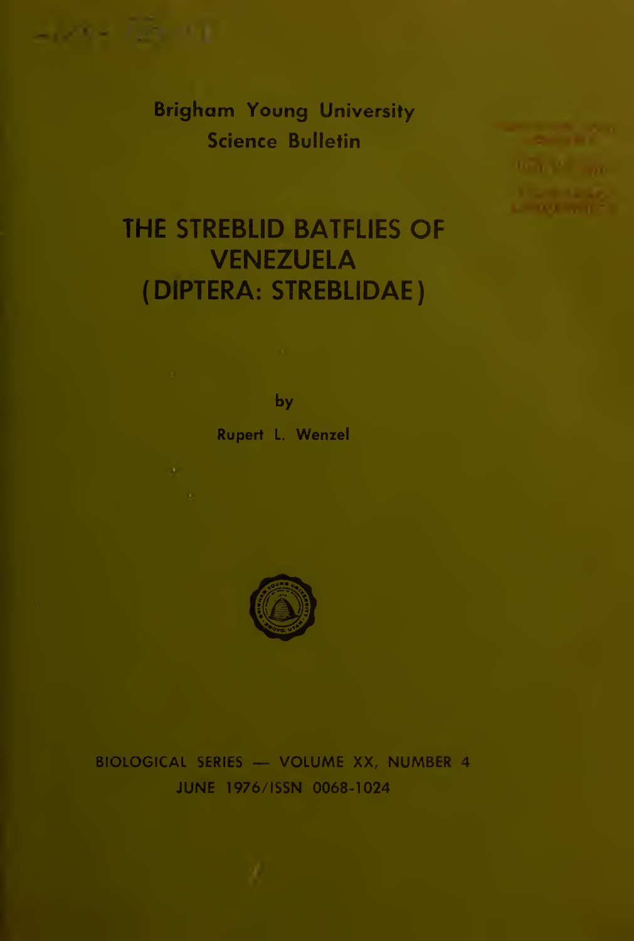

Brigham Young University Science Bulletin



# THE STREBLID BATFLIES OF VENEZUELA (DIPTERA: STREBLIDAE)

by Rupert L. Wenzel



### BIOLOGICAL SERIES — VOLUME XX, NUMBER <sup>4</sup> JUNE 1976/ISSN 0068-1024